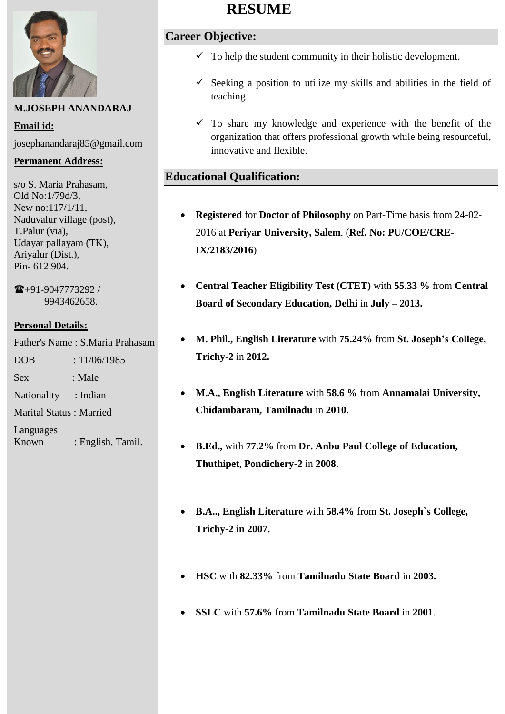

## **M.JOSEPH ANANDARAJ**

**Email id:**  josephanandaraj85@gmail.com

#### **Permanent Address:**

s/o S. Maria Prahasam, Old No:1/79d/3, New no:117/1/11, Naduvalur village (post), T.Palur (via), Udayar pallayam (TK), Ariyalur (Dist.), Pin- 612 904.

 $\mathbf{\widehat{m}}$ +91-9047773292 / 9943462658.

## **Personal Details:**

Father's Name : S.Maria Prahasam

DOB : 11/06/1985

Sex : Male

Nationality : Indian

Marital Status : Married

Languages Known : English, Tamil.

# **RESUME**

# **Career Objective:**

- $\checkmark$  To help the student community in their holistic development.
- $\checkmark$  Seeking a position to utilize my skills and abilities in the field of teaching.
- $\checkmark$  To share my knowledge and experience with the benefit of the organization that offers professional growth while being resourceful, innovative and flexible.

# **Educational Qualification:**

- **Registered** for **Doctor of Philosophy** on Part-Time basis from 24-02- 2016 at **Periyar University, Salem**. (**Ref. No: PU/COE/CRE-IX/2183/2016**)
- **Central Teacher Eligibility Test (CTET)** with **55.33 %** from **Central Board of Secondary Education, Delhi** in **July – 2013.**
- **M. Phil., English Literature** with **75.24%** from **St. Joseph's College, Trichy-2** in **2012.**
- **M.A., English Literature** with **58.6 %** from **Annamalai University, Chidambaram, Tamilnadu** in **2010.**
- **B.Ed.,** with **77.2%** from **Dr. Anbu Paul College of Education, Thuthipet, Pondichery-2** in **2008.**
- **B.A.., English Literature** with **58.4%** from **St. Joseph`s College, Trichy-2 in 2007.**
- **HSC** with **82.33%** from **Tamilnadu State Board** in **2003.**
- **SSLC** with **57.6%** from **Tamilnadu State Board** in **2001**.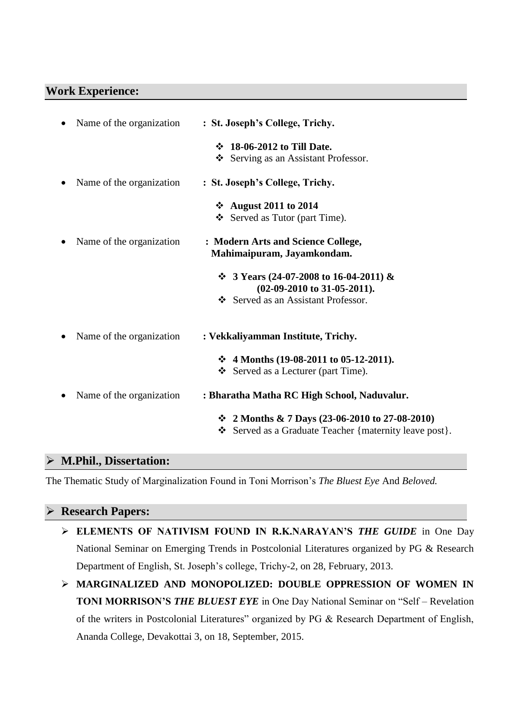#### **Work Experience:**

| Name of the organization | : St. Joseph's College, Trichy.                                                                                    |
|--------------------------|--------------------------------------------------------------------------------------------------------------------|
|                          | ❖ 18-06-2012 to Till Date.<br>Serving as an Assistant Professor.                                                   |
| Name of the organization | : St. Joseph's College, Trichy.                                                                                    |
|                          | ❖ August 2011 to 2014<br>Served as Tutor (part Time).                                                              |
| Name of the organization | : Modern Arts and Science College,<br>Mahimaipuram, Jayamkondam.                                                   |
|                          | $\div$ 3 Years (24-07-2008 to 16-04-2011) &<br>$(02-09-2010)$ to 31-05-2011).<br>Served as an Assistant Professor. |
| Name of the organization | : Vekkaliyamman Institute, Trichy.                                                                                 |
|                          | $\div$ 4 Months (19-08-2011 to 05-12-2011).<br>Served as a Lecturer (part Time).                                   |
| Name of the organization | : Bharatha Matha RC High School, Naduvalur.                                                                        |
|                          | ❖ 2 Months & 7 Days (23-06-2010 to 27-08-2010)<br>Served as a Graduate Teacher {maternity leave post}.             |
|                          |                                                                                                                    |

## **M.Phil., Dissertation:**

The Thematic Study of Marginalization Found in Toni Morrison's *The Bluest Eye* And *Beloved.*

#### **Research Papers:**

- **ELEMENTS OF NATIVISM FOUND IN R.K.NARAYAN'S** *THE GUIDE* in One Day National Seminar on Emerging Trends in Postcolonial Literatures organized by PG & Research Department of English, St. Joseph's college, Trichy-2, on 28, February, 2013.
- **MARGINALIZED AND MONOPOLIZED: DOUBLE OPPRESSION OF WOMEN IN TONI MORRISON'S** *THE BLUEST EYE* in One Day National Seminar on "Self – Revelation of the writers in Postcolonial Literatures" organized by PG & Research Department of English, Ananda College, Devakottai 3, on 18, September, 2015.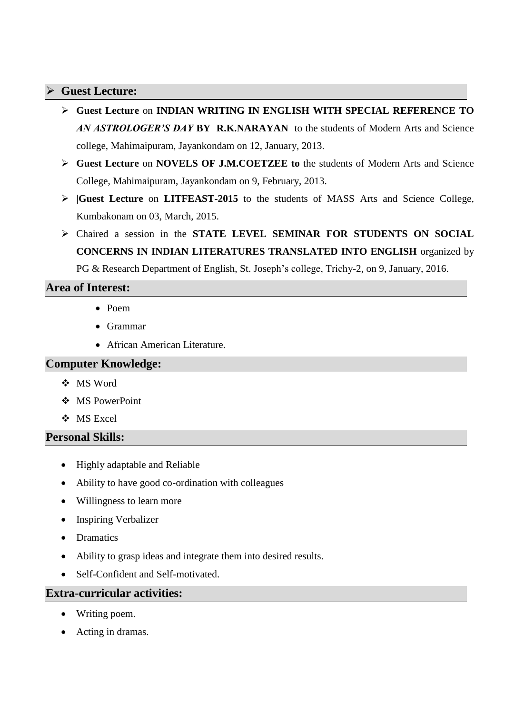## **Guest Lecture:**

- **Guest Lecture** on **INDIAN WRITING IN ENGLISH WITH SPECIAL REFERENCE TO**  *AN ASTROLOGER'S DAY* **BY R.K.NARAYAN** to the students of Modern Arts and Science college, Mahimaipuram, Jayankondam on 12, January, 2013.
- **Guest Lecture** on **NOVELS OF J.M.COETZEE to** the students of Modern Arts and Science College, Mahimaipuram, Jayankondam on 9, February, 2013.
- **|Guest Lecture** on **LITFEAST-2015** to the students of MASS Arts and Science College, Kumbakonam on 03, March, 2015.
- Chaired a session in the **STATE LEVEL SEMINAR FOR STUDENTS ON SOCIAL CONCERNS IN INDIAN LITERATURES TRANSLATED INTO ENGLISH** organized by PG & Research Department of English, St. Joseph's college, Trichy-2, on 9, January, 2016.

## **Area of Interest:**

- Poem
- Grammar
- African American Literature.

#### **Computer Knowledge:**

- MS Word
- MS PowerPoint
- MS Excel

## **Personal Skills:**

- Highly adaptable and Reliable
- Ability to have good co-ordination with colleagues
- Willingness to learn more
- Inspiring Verbalizer
- Dramatics
- Ability to grasp ideas and integrate them into desired results.
- Self-Confident and Self-motivated.

#### **Extra-curricular activities:**

- Writing poem.
- Acting in dramas.